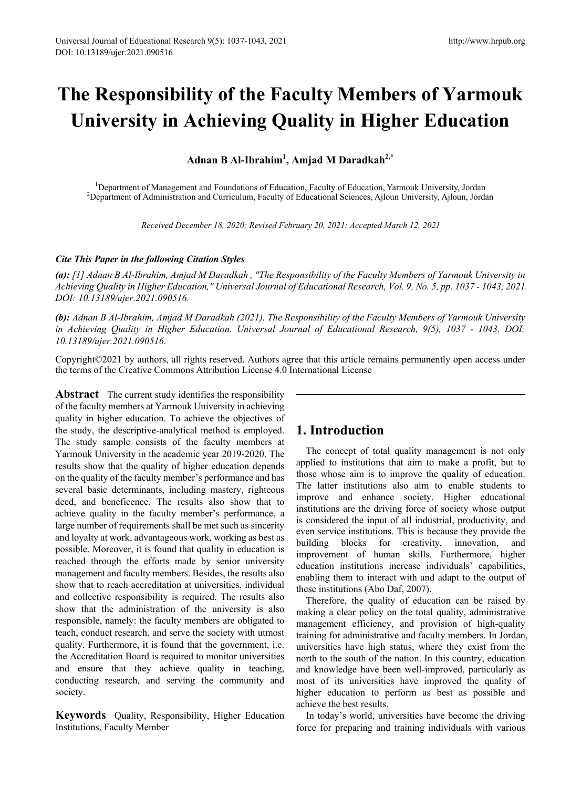# **The Responsibility of the Faculty Members of Yarmouk University in Achieving Quality in Higher Education**

**Adnan B Al-Ibrahim1 , Amjad M Daradkah2,\***

<sup>1</sup>Department of Management and Foundations of Education, Faculty of Education, Yarmouk University, Jordan <sup>2</sup>Department of Administration and Curriculum, Faculty of Educational Sciences, Ailoun Iniversity, Ailoun, Iord <sup>2</sup>Department of Administration and Curriculum, Faculty of Educational Sciences, Ajloun University, Ajloun, Jordan

*Received December 18, 2020; Revised February 20, 2021; Accepted March 12, 2021*

#### *Cite This Paper in the following Citation Styles*

*(a): [1] Adnan B Al-Ibrahim, Amjad M Daradkah , "The Responsibility of the Faculty Members of Yarmouk University in Achieving Quality in Higher Education," Universal Journal of Educational Research, Vol. 9, No. 5, pp. 1037 - 1043, 2021. DOI: 10.13189/ujer.2021.090516.* 

*(b): Adnan B Al-Ibrahim, Amjad M Daradkah (2021). The Responsibility of the Faculty Members of Yarmouk University in Achieving Quality in Higher Education. Universal Journal of Educational Research, 9(5), 1037 - 1043. DOI: 10.13189/ujer.2021.090516.* 

Copyright©2021 by authors, all rights reserved. Authors agree that this article remains permanently open access under the terms of the Creative Commons Attribution License 4.0 International License

**Abstract** The current study identifies the responsibility of the faculty members at Yarmouk University in achieving quality in higher education. To achieve the objectives of the study, the descriptive-analytical method is employed. The study sample consists of the faculty members at Yarmouk University in the academic year 2019-2020. The results show that the quality of higher education depends on the quality of the faculty member's performance and has several basic determinants, including mastery, righteous deed, and beneficence. The results also show that to achieve quality in the faculty member's performance, a large number of requirements shall be met such as sincerity and loyalty at work, advantageous work, working as best as possible. Moreover, it is found that quality in education is reached through the efforts made by senior university management and faculty members. Besides, the results also show that to reach accreditation at universities, individual and collective responsibility is required. The results also show that the administration of the university is also responsible, namely: the faculty members are obligated to teach, conduct research, and serve the society with utmost quality. Furthermore, it is found that the government, i.e. the Accreditation Board is required to monitor universities and ensure that they achieve quality in teaching, conducting research, and serving the community and society.

**Keywords** Quality, Responsibility, Higher Education Institutions, Faculty Member

## **1. Introduction**

The concept of total quality management is not only applied to institutions that aim to make a profit, but to those whose aim is to improve the quality of education. The latter institutions also aim to enable students to improve and enhance society. Higher educational institutions are the driving force of society whose output is considered the input of all industrial, productivity, and even service institutions. This is because they provide the building blocks for creativity, innovation, and improvement of human skills. Furthermore, higher education institutions increase individuals' capabilities, enabling them to interact with and adapt to the output of these institutions (Abo Daf, 2007).

Therefore, the quality of education can be raised by making a clear policy on the total quality, administrative management efficiency, and provision of high-quality training for administrative and faculty members. In Jordan, universities have high status, where they exist from the north to the south of the nation. In this country, education and knowledge have been well-improved, particularly as most of its universities have improved the quality of higher education to perform as best as possible and achieve the best results.

In today's world, universities have become the driving force for preparing and training individuals with various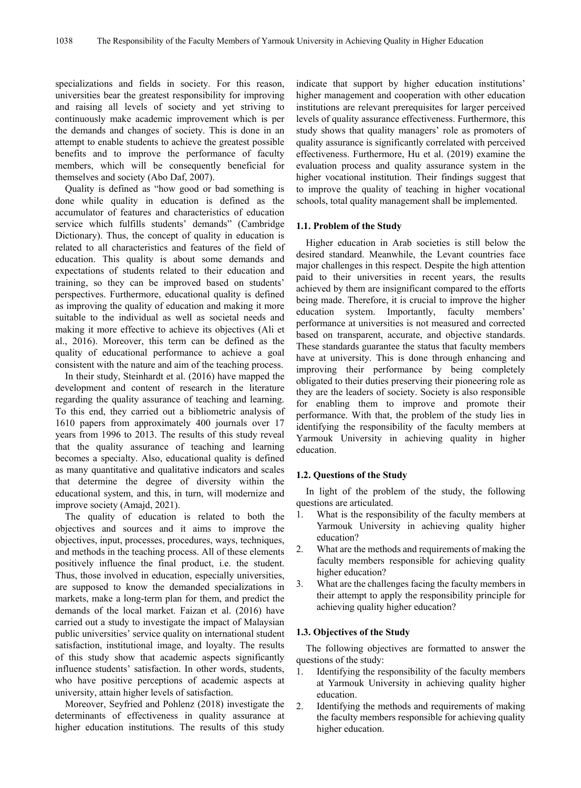specializations and fields in society. For this reason, universities bear the greatest responsibility for improving and raising all levels of society and yet striving to continuously make academic improvement which is per the demands and changes of society. This is done in an attempt to enable students to achieve the greatest possible benefits and to improve the performance of faculty members, which will be consequently beneficial for themselves and society (Abo Daf, 2007).

Quality is defined as "how good or bad something is done while quality in education is defined as the accumulator of features and characteristics of education service which fulfills students' demands" (Cambridge Dictionary). Thus, the concept of quality in education is related to all characteristics and features of the field of education. This quality is about some demands and expectations of students related to their education and training, so they can be improved based on students' perspectives. Furthermore, educational quality is defined as improving the quality of education and making it more suitable to the individual as well as societal needs and making it more effective to achieve its objectives (Ali et al., 2016). Moreover, this term can be defined as the quality of educational performance to achieve a goal consistent with the nature and aim of the teaching process.

In their study, Steinhardt et al. (2016) have mapped the development and content of research in the literature regarding the quality assurance of teaching and learning. To this end, they carried out a bibliometric analysis of 1610 papers from approximately 400 journals over 17 years from 1996 to 2013. The results of this study reveal that the quality assurance of teaching and learning becomes a specialty. Also, educational quality is defined as many quantitative and qualitative indicators and scales that determine the degree of diversity within the educational system, and this, in turn, will modernize and improve society (Amajd, 2021).

The quality of education is related to both the objectives and sources and it aims to improve the objectives, input, processes, procedures, ways, techniques, and methods in the teaching process. All of these elements positively influence the final product, i.e. the student. Thus, those involved in education, especially universities, are supposed to know the demanded specializations in markets, make a long-term plan for them, and predict the demands of the local market. Faizan et al. (2016) have carried out a study to investigate the impact of Malaysian public universities' service quality on international student satisfaction, institutional image, and loyalty. The results of this study show that academic aspects significantly influence students' satisfaction. In other words, students, who have positive perceptions of academic aspects at university, attain higher levels of satisfaction.

Moreover, Seyfried and Pohlenz (2018) investigate the determinants of effectiveness in quality assurance at higher education institutions. The results of this study indicate that support by higher education institutions' higher management and cooperation with other education institutions are relevant prerequisites for larger perceived levels of quality assurance effectiveness. Furthermore, this study shows that quality managers' role as promoters of quality assurance is significantly correlated with perceived effectiveness. Furthermore, Hu et al. (2019) examine the evaluation process and quality assurance system in the higher vocational institution. Their findings suggest that to improve the quality of teaching in higher vocational schools, total quality management shall be implemented.

### **1.1. Problem of the Study**

Higher education in Arab societies is still below the desired standard. Meanwhile, the Levant countries face major challenges in this respect. Despite the high attention paid to their universities in recent years, the results achieved by them are insignificant compared to the efforts being made. Therefore, it is crucial to improve the higher education system. Importantly, faculty members' performance at universities is not measured and corrected based on transparent, accurate, and objective standards. These standards guarantee the status that faculty members have at university. This is done through enhancing and improving their performance by being completely obligated to their duties preserving their pioneering role as they are the leaders of society. Society is also responsible for enabling them to improve and promote their performance. With that, the problem of the study lies in identifying the responsibility of the faculty members at Yarmouk University in achieving quality in higher education.

#### **1.2. Questions of the Study**

In light of the problem of the study, the following questions are articulated.

- 1. What is the responsibility of the faculty members at Yarmouk University in achieving quality higher education?
- 2. What are the methods and requirements of making the faculty members responsible for achieving quality higher education?
- 3. What are the challenges facing the faculty members in their attempt to apply the responsibility principle for achieving quality higher education?

#### **1.3. Objectives of the Study**

The following objectives are formatted to answer the questions of the study:

- 1. Identifying the responsibility of the faculty members at Yarmouk University in achieving quality higher education.
- 2. Identifying the methods and requirements of making the faculty members responsible for achieving quality higher education.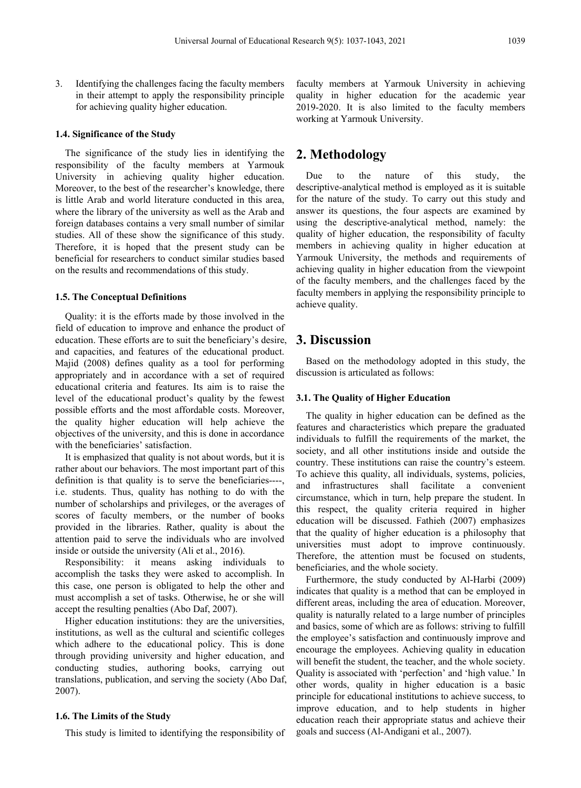3. Identifying the challenges facing the faculty members in their attempt to apply the responsibility principle for achieving quality higher education.

#### **1.4. Significance of the Study**

The significance of the study lies in identifying the responsibility of the faculty members at Yarmouk University in achieving quality higher education. Moreover, to the best of the researcher's knowledge, there is little Arab and world literature conducted in this area, where the library of the university as well as the Arab and foreign databases contains a very small number of similar studies. All of these show the significance of this study. Therefore, it is hoped that the present study can be beneficial for researchers to conduct similar studies based on the results and recommendations of this study.

#### **1.5. The Conceptual Definitions**

Quality: it is the efforts made by those involved in the field of education to improve and enhance the product of education. These efforts are to suit the beneficiary's desire, and capacities, and features of the educational product. Majid (2008) defines quality as a tool for performing appropriately and in accordance with a set of required educational criteria and features. Its aim is to raise the level of the educational product's quality by the fewest possible efforts and the most affordable costs. Moreover, the quality higher education will help achieve the objectives of the university, and this is done in accordance with the beneficiaries' satisfaction.

It is emphasized that quality is not about words, but it is rather about our behaviors. The most important part of this definition is that quality is to serve the beneficiaries----, i.e. students. Thus, quality has nothing to do with the number of scholarships and privileges, or the averages of scores of faculty members, or the number of books provided in the libraries. Rather, quality is about the attention paid to serve the individuals who are involved inside or outside the university (Ali et al., 2016).

Responsibility: it means asking individuals to accomplish the tasks they were asked to accomplish. In this case, one person is obligated to help the other and must accomplish a set of tasks. Otherwise, he or she will accept the resulting penalties (Abo Daf, 2007).

Higher education institutions: they are the universities, institutions, as well as the cultural and scientific colleges which adhere to the educational policy. This is done through providing university and higher education, and conducting studies, authoring books, carrying out translations, publication, and serving the society (Abo Daf, 2007).

#### **1.6. The Limits of the Study**

This study is limited to identifying the responsibility of

faculty members at Yarmouk University in achieving quality in higher education for the academic year 2019-2020. It is also limited to the faculty members working at Yarmouk University.

# **2. Methodology**

Due to the nature of this study, the descriptive-analytical method is employed as it is suitable for the nature of the study. To carry out this study and answer its questions, the four aspects are examined by using the descriptive-analytical method, namely: the quality of higher education, the responsibility of faculty members in achieving quality in higher education at Yarmouk University, the methods and requirements of achieving quality in higher education from the viewpoint of the faculty members, and the challenges faced by the faculty members in applying the responsibility principle to achieve quality.

## **3. Discussion**

Based on the methodology adopted in this study, the discussion is articulated as follows:

#### **3.1. The Quality of Higher Education**

The quality in higher education can be defined as the features and characteristics which prepare the graduated individuals to fulfill the requirements of the market, the society, and all other institutions inside and outside the country. These institutions can raise the country's esteem. To achieve this quality, all individuals, systems, policies, and infrastructures shall facilitate a convenient circumstance, which in turn, help prepare the student. In this respect, the quality criteria required in higher education will be discussed. Fathieh (2007) emphasizes that the quality of higher education is a philosophy that universities must adopt to improve continuously. Therefore, the attention must be focused on students, beneficiaries, and the whole society.

Furthermore, the study conducted by Al-Harbi (2009) indicates that quality is a method that can be employed in different areas, including the area of education. Moreover, quality is naturally related to a large number of principles and basics, some of which are as follows: striving to fulfill the employee's satisfaction and continuously improve and encourage the employees. Achieving quality in education will benefit the student, the teacher, and the whole society. Quality is associated with 'perfection' and 'high value.' In other words, quality in higher education is a basic principle for educational institutions to achieve success, to improve education, and to help students in higher education reach their appropriate status and achieve their goals and success (Al-Andigani et al., 2007).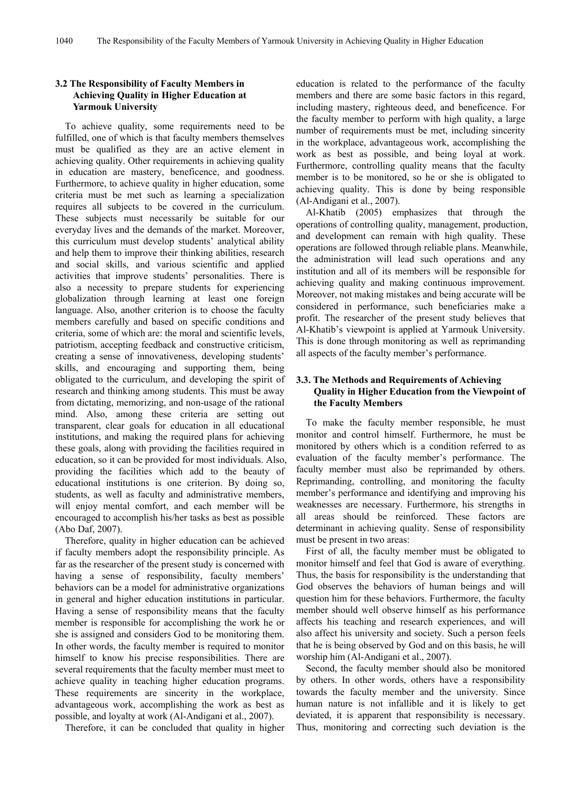## **3.2 The Responsibility of Faculty Members in Achieving Quality in Higher Education at Yarmouk University**

To achieve quality, some requirements need to be fulfilled, one of which is that faculty members themselves must be qualified as they are an active element in achieving quality. Other requirements in achieving quality in education are mastery, beneficence, and goodness. Furthermore, to achieve quality in higher education, some criteria must be met such as learning a specialization requires all subjects to be covered in the curriculum. These subjects must necessarily be suitable for our everyday lives and the demands of the market. Moreover, this curriculum must develop students' analytical ability and help them to improve their thinking abilities, research and social skills, and various scientific and applied activities that improve students' personalities. There is also a necessity to prepare students for experiencing globalization through learning at least one foreign language. Also, another criterion is to choose the faculty members carefully and based on specific conditions and criteria, some of which are: the moral and scientific levels, patriotism, accepting feedback and constructive criticism, creating a sense of innovativeness, developing students' skills, and encouraging and supporting them, being obligated to the curriculum, and developing the spirit of research and thinking among students. This must be away from dictating, memorizing, and non-usage of the rational mind. Also, among these criteria are setting out transparent, clear goals for education in all educational institutions, and making the required plans for achieving these goals, along with providing the facilities required in education, so it can be provided for most individuals. Also, providing the facilities which add to the beauty of educational institutions is one criterion. By doing so, students, as well as faculty and administrative members, will enjoy mental comfort, and each member will be encouraged to accomplish his/her tasks as best as possible (Abo Daf, 2007).

Therefore, quality in higher education can be achieved if faculty members adopt the responsibility principle. As far as the researcher of the present study is concerned with having a sense of responsibility, faculty members' behaviors can be a model for administrative organizations in general and higher education institutions in particular. Having a sense of responsibility means that the faculty member is responsible for accomplishing the work he or she is assigned and considers God to be monitoring them. In other words, the faculty member is required to monitor himself to know his precise responsibilities. There are several requirements that the faculty member must meet to achieve quality in teaching higher education programs. These requirements are sincerity in the workplace, advantageous work, accomplishing the work as best as possible, and loyalty at work (Al-Andigani et al., 2007).

Therefore, it can be concluded that quality in higher

education is related to the performance of the faculty members and there are some basic factors in this regard, including mastery, righteous deed, and beneficence. For the faculty member to perform with high quality, a large number of requirements must be met, including sincerity in the workplace, advantageous work, accomplishing the work as best as possible, and being loyal at work. Furthermore, controlling quality means that the faculty member is to be monitored, so he or she is obligated to achieving quality. This is done by being responsible (Al-Andigani et al., 2007).

Al-Khatib (2005) emphasizes that through the operations of controlling quality, management, production, and development can remain with high quality. These operations are followed through reliable plans. Meanwhile, the administration will lead such operations and any institution and all of its members will be responsible for achieving quality and making continuous improvement. Moreover, not making mistakes and being accurate will be considered in performance, such beneficiaries make a profit. The researcher of the present study believes that Al-Khatib's viewpoint is applied at Yarmouk University. This is done through monitoring as well as reprimanding all aspects of the faculty member's performance.

## **3.3. The Methods and Requirements of Achieving Quality in Higher Education from the Viewpoint of the Faculty Members**

To make the faculty member responsible, he must monitor and control himself. Furthermore, he must be monitored by others which is a condition referred to as evaluation of the faculty member's performance. The faculty member must also be reprimanded by others. Reprimanding, controlling, and monitoring the faculty member's performance and identifying and improving his weaknesses are necessary. Furthermore, his strengths in all areas should be reinforced. These factors are determinant in achieving quality. Sense of responsibility must be present in two areas:

First of all, the faculty member must be obligated to monitor himself and feel that God is aware of everything. Thus, the basis for responsibility is the understanding that God observes the behaviors of human beings and will question him for these behaviors. Furthermore, the faculty member should well observe himself as his performance affects his teaching and research experiences, and will also affect his university and society. Such a person feels that he is being observed by God and on this basis, he will worship him (Al-Andigani et al., 2007).

Second, the faculty member should also be monitored by others. In other words, others have a responsibility towards the faculty member and the university. Since human nature is not infallible and it is likely to get deviated, it is apparent that responsibility is necessary. Thus, monitoring and correcting such deviation is the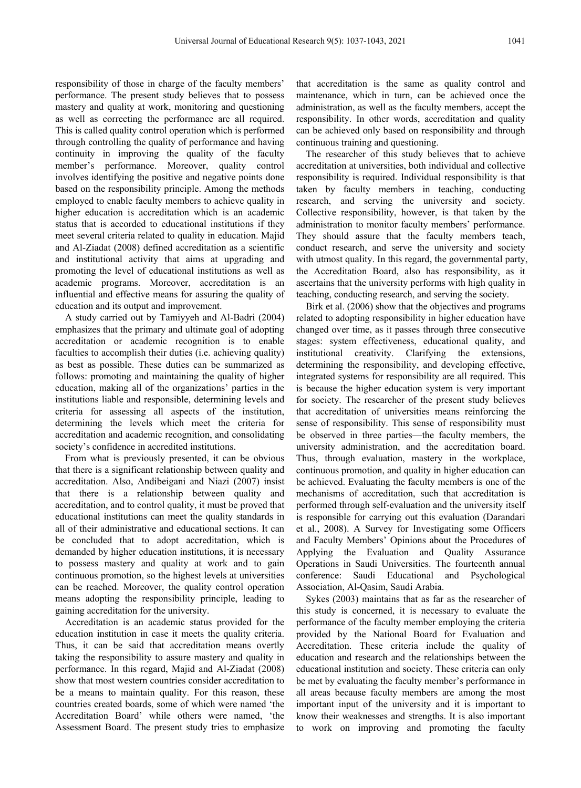responsibility of those in charge of the faculty members' performance. The present study believes that to possess mastery and quality at work, monitoring and questioning as well as correcting the performance are all required. This is called quality control operation which is performed through controlling the quality of performance and having continuity in improving the quality of the faculty member's performance. Moreover, quality control involves identifying the positive and negative points done based on the responsibility principle. Among the methods employed to enable faculty members to achieve quality in higher education is accreditation which is an academic status that is accorded to educational institutions if they meet several criteria related to quality in education. Majid and Al-Ziadat (2008) defined accreditation as a scientific and institutional activity that aims at upgrading and promoting the level of educational institutions as well as academic programs. Moreover, accreditation is an influential and effective means for assuring the quality of education and its output and improvement.

A study carried out by Tamiyyeh and Al-Badri (2004) emphasizes that the primary and ultimate goal of adopting accreditation or academic recognition is to enable faculties to accomplish their duties (i.e. achieving quality) as best as possible. These duties can be summarized as follows: promoting and maintaining the quality of higher education, making all of the organizations' parties in the institutions liable and responsible, determining levels and criteria for assessing all aspects of the institution, determining the levels which meet the criteria for accreditation and academic recognition, and consolidating society's confidence in accredited institutions.

From what is previously presented, it can be obvious that there is a significant relationship between quality and accreditation. Also, Andibeigani and Niazi (2007) insist that there is a relationship between quality and accreditation, and to control quality, it must be proved that educational institutions can meet the quality standards in all of their administrative and educational sections. It can be concluded that to adopt accreditation, which is demanded by higher education institutions, it is necessary to possess mastery and quality at work and to gain continuous promotion, so the highest levels at universities can be reached. Moreover, the quality control operation means adopting the responsibility principle, leading to gaining accreditation for the university.

Accreditation is an academic status provided for the education institution in case it meets the quality criteria. Thus, it can be said that accreditation means overtly taking the responsibility to assure mastery and quality in performance. In this regard, Majid and Al-Ziadat (2008) show that most western countries consider accreditation to be a means to maintain quality. For this reason, these countries created boards, some of which were named 'the Accreditation Board' while others were named, 'the Assessment Board. The present study tries to emphasize

that accreditation is the same as quality control and maintenance, which in turn, can be achieved once the administration, as well as the faculty members, accept the responsibility. In other words, accreditation and quality can be achieved only based on responsibility and through continuous training and questioning.

The researcher of this study believes that to achieve accreditation at universities, both individual and collective responsibility is required. Individual responsibility is that taken by faculty members in teaching, conducting research, and serving the university and society. Collective responsibility, however, is that taken by the administration to monitor faculty members' performance. They should assure that the faculty members teach, conduct research, and serve the university and society with utmost quality. In this regard, the governmental party, the Accreditation Board, also has responsibility, as it ascertains that the university performs with high quality in teaching, conducting research, and serving the society.

Birk et al. (2006) show that the objectives and programs related to adopting responsibility in higher education have changed over time, as it passes through three consecutive stages: system effectiveness, educational quality, and institutional creativity. Clarifying the extensions, determining the responsibility, and developing effective, integrated systems for responsibility are all required. This is because the higher education system is very important for society. The researcher of the present study believes that accreditation of universities means reinforcing the sense of responsibility. This sense of responsibility must be observed in three parties––the faculty members, the university administration, and the accreditation board. Thus, through evaluation, mastery in the workplace, continuous promotion, and quality in higher education can be achieved. Evaluating the faculty members is one of the mechanisms of accreditation, such that accreditation is performed through self-evaluation and the university itself is responsible for carrying out this evaluation (Darandari et al., 2008). A Survey for Investigating some Officers and Faculty Members' Opinions about the Procedures of Applying the Evaluation and Quality Assurance Operations in Saudi Universities. The fourteenth annual conference: Saudi Educational and Psychological Association, Al-Qasim, Saudi Arabia.

Sykes (2003) maintains that as far as the researcher of this study is concerned, it is necessary to evaluate the performance of the faculty member employing the criteria provided by the National Board for Evaluation and Accreditation. These criteria include the quality of education and research and the relationships between the educational institution and society. These criteria can only be met by evaluating the faculty member's performance in all areas because faculty members are among the most important input of the university and it is important to know their weaknesses and strengths. It is also important to work on improving and promoting the faculty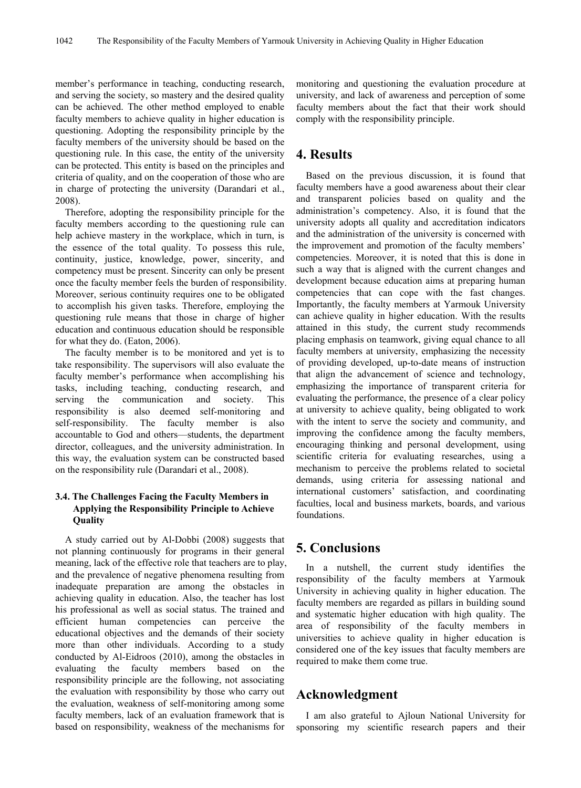member's performance in teaching, conducting research, and serving the society, so mastery and the desired quality can be achieved. The other method employed to enable faculty members to achieve quality in higher education is questioning. Adopting the responsibility principle by the faculty members of the university should be based on the questioning rule. In this case, the entity of the university can be protected. This entity is based on the principles and criteria of quality, and on the cooperation of those who are in charge of protecting the university (Darandari et al., 2008).

Therefore, adopting the responsibility principle for the faculty members according to the questioning rule can help achieve mastery in the workplace, which in turn, is the essence of the total quality. To possess this rule, continuity, justice, knowledge, power, sincerity, and competency must be present. Sincerity can only be present once the faculty member feels the burden of responsibility. Moreover, serious continuity requires one to be obligated to accomplish his given tasks. Therefore, employing the questioning rule means that those in charge of higher education and continuous education should be responsible for what they do. (Eaton, 2006).

The faculty member is to be monitored and yet is to take responsibility. The supervisors will also evaluate the faculty member's performance when accomplishing his tasks, including teaching, conducting research, and serving the communication and society. This responsibility is also deemed self-monitoring and self-responsibility. The faculty member is also accountable to God and others––students, the department director, colleagues, and the university administration. In this way, the evaluation system can be constructed based on the responsibility rule (Darandari et al., 2008).

## **3.4. The Challenges Facing the Faculty Members in Applying the Responsibility Principle to Achieve Quality**

A study carried out by Al-Dobbi (2008) suggests that not planning continuously for programs in their general meaning, lack of the effective role that teachers are to play, and the prevalence of negative phenomena resulting from inadequate preparation are among the obstacles in achieving quality in education. Also, the teacher has lost his professional as well as social status. The trained and efficient human competencies can perceive the educational objectives and the demands of their society more than other individuals. According to a study conducted by Al-Eidroos (2010), among the obstacles in evaluating the faculty members based on the responsibility principle are the following, not associating the evaluation with responsibility by those who carry out the evaluation, weakness of self-monitoring among some faculty members, lack of an evaluation framework that is based on responsibility, weakness of the mechanisms for

monitoring and questioning the evaluation procedure at university, and lack of awareness and perception of some faculty members about the fact that their work should comply with the responsibility principle.

# **4. Results**

Based on the previous discussion, it is found that faculty members have a good awareness about their clear and transparent policies based on quality and the administration's competency. Also, it is found that the university adopts all quality and accreditation indicators and the administration of the university is concerned with the improvement and promotion of the faculty members' competencies. Moreover, it is noted that this is done in such a way that is aligned with the current changes and development because education aims at preparing human competencies that can cope with the fast changes. Importantly, the faculty members at Yarmouk University can achieve quality in higher education. With the results attained in this study, the current study recommends placing emphasis on teamwork, giving equal chance to all faculty members at university, emphasizing the necessity of providing developed, up-to-date means of instruction that align the advancement of science and technology, emphasizing the importance of transparent criteria for evaluating the performance, the presence of a clear policy at university to achieve quality, being obligated to work with the intent to serve the society and community, and improving the confidence among the faculty members, encouraging thinking and personal development, using scientific criteria for evaluating researches, using a mechanism to perceive the problems related to societal demands, using criteria for assessing national and international customers' satisfaction, and coordinating faculties, local and business markets, boards, and various foundations.

# **5. Conclusions**

In a nutshell, the current study identifies the responsibility of the faculty members at Yarmouk University in achieving quality in higher education. The faculty members are regarded as pillars in building sound and systematic higher education with high quality. The area of responsibility of the faculty members in universities to achieve quality in higher education is considered one of the key issues that faculty members are required to make them come true.

## **Acknowledgment**

I am also grateful to Ajloun National University for sponsoring my scientific research papers and their